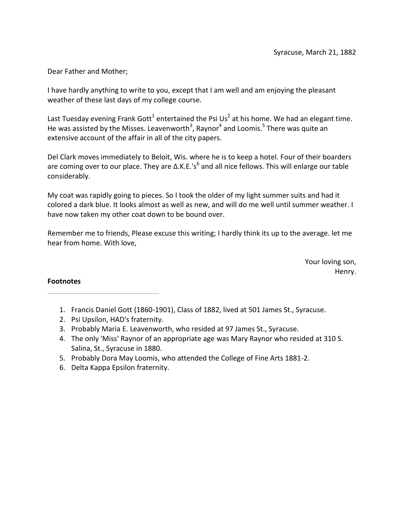Dear Father and Mother;

I have hardly anything to write to you, except that I am well and am enjoying the pleasant weather of these last days of my college course.

Last Tuesday evening Frank Gott<sup>1</sup> entertained the Psi Us<sup>2</sup> at his home. We had an elegant time. He was assisted by the Misses. Leavenworth<sup>3</sup>, Raynor<sup>4</sup> and Loomis.<sup>5</sup> There was quite an extensive account of the affair in all of the city papers.

Del Clark moves immediately to Beloit, Wis. where he is to keep a hotel. Four of their boarders are coming over to our place. They are  $\Delta$ .K.E.'s<sup>6</sup> and all nice fellows. This will enlarge our table considerably.

My coat was rapidly going to pieces. So I took the older of my light summer suits and had it colored a dark blue. It looks almost as well as new, and will do me well until summer weather. I have now taken my other coat down to be bound over.

Remember me to friends, Please excuse this writing; I hardly think its up to the average. let me hear from home. With love,

> Your loving son, Henry.

- 1. Francis Daniel Gott (1860-1901), Class of 1882, lived at 501 James St., Syracuse.
- 2. Psi Upsilon, HAD's fraternity.
- 3. Probably Maria E. Leavenworth, who resided at 97 James St., Syracuse.
- 4. The only 'Miss' Raynor of an appropriate age was Mary Raynor who resided at 310 S. Salina, St., Syracuse in 1880.
- 5. Probably Dora May Loomis, who attended the College of Fine Arts 1881-2.
- 6. Delta Kappa Epsilon fraternity.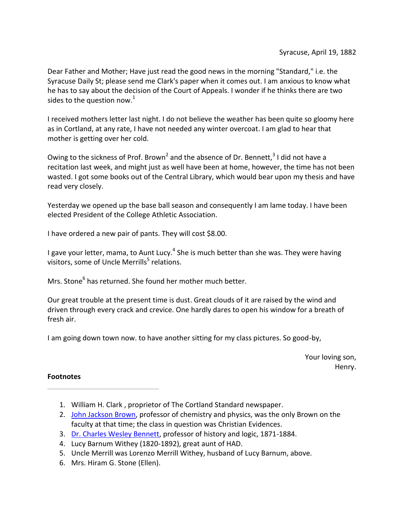Dear Father and Mother; Have just read the good news in the morning "Standard," i.e. the Syracuse Daily St; please send me Clark's paper when it comes out. I am anxious to know what he has to say about the decision of the Court of Appeals. I wonder if he thinks there are two sides to the question now.<sup>1</sup>

I received mothers letter last night. I do not believe the weather has been quite so gloomy here as in Cortland, at any rate, I have not needed any winter overcoat. I am glad to hear that mother is getting over her cold.

Owing to the sickness of Prof. Brown<sup>2</sup> and the absence of Dr. Bennett,  $3$  I did not have a recitation last week, and might just as well have been at home, however, the time has not been wasted. I got some books out of the Central Library, which would bear upon my thesis and have read very closely.

Yesterday we opened up the base ball season and consequently I am lame today. I have been elected President of the College Athletic Association.

I have ordered a new pair of pants. They will cost \$8.00.

I gave your letter, mama, to Aunt Lucy.<sup>4</sup> She is much better than she was. They were having visitors, some of Uncle Merrills<sup>5</sup> relations.

Mrs. Stone<sup>6</sup> has returned. She found her mother much better.

Our great trouble at the present time is dust. Great clouds of it are raised by the wind and driven through every crack and crevice. One hardly dares to open his window for a breath of fresh air.

I am going down town now. to have another sitting for my class pictures. So good-by,

Your loving son, Henry.

- 1. William H. Clark , proprietor of The Cortland Standard newspaper.
- 2. John Jackson Brown, professor of chemistry and physics, was the only Brown on the faculty at that time; the class in question was Christian Evidences.
- 3. Dr. Charles Wesley Bennett, professor of history and logic, 1871-1884.
- 4. Lucy Barnum Withey (1820-1892), great aunt of HAD.
- 5. Uncle Merrill was Lorenzo Merrill Withey, husband of Lucy Barnum, above.
- 6. Mrs. Hiram G. Stone (Ellen).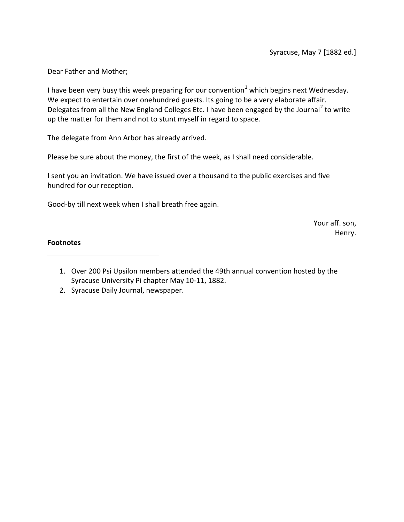Dear Father and Mother;

I have been very busy this week preparing for our convention<sup>1</sup> which begins next Wednesday. We expect to entertain over onehundred guests. Its going to be a very elaborate affair. Delegates from all the New England Colleges Etc. I have been engaged by the Journal<sup>2</sup> to write up the matter for them and not to stunt myself in regard to space.

The delegate from Ann Arbor has already arrived.

Please be sure about the money, the first of the week, as I shall need considerable.

I sent you an invitation. We have issued over a thousand to the public exercises and five hundred for our reception.

Good-by till next week when I shall breath free again.

Your aff. son, Henry.

- 1. Over 200 Psi Upsilon members attended the 49th annual convention hosted by the Syracuse University Pi chapter May 10-11, 1882.
- 2. Syracuse Daily Journal, newspaper.